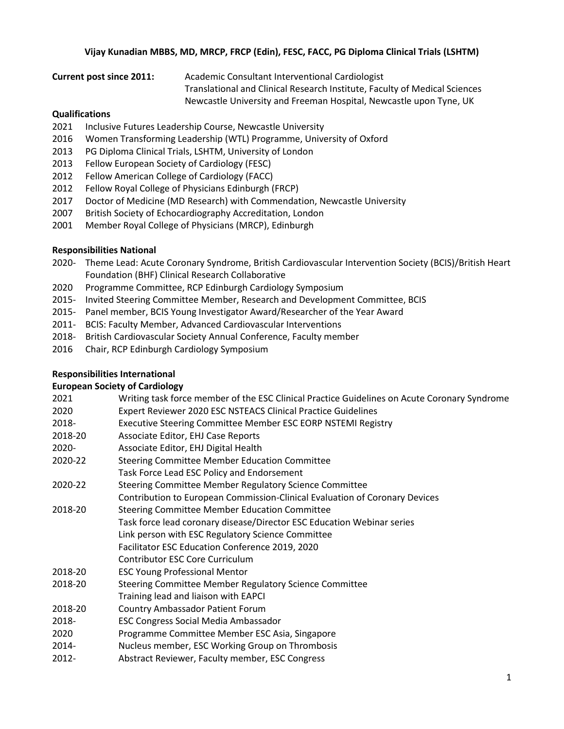#### **Vijay Kunadian MBBS, MD, MRCP, FRCP (Edin), FESC, FACC, PG Diploma Clinical Trials (LSHTM)**

**Current post since 2011:** Academic Consultant Interventional Cardiologist

Translational and Clinical Research Institute, Faculty of Medical Sciences

Newcastle University and Freeman Hospital, Newcastle upon Tyne, UK

#### **Qualifications**

- 2021 Inclusive Futures Leadership Course, Newcastle University
- 2016 Women Transforming Leadership (WTL) Programme, University of Oxford
- 2013 PG Diploma Clinical Trials, LSHTM, University of London
- 2013 Fellow European Society of Cardiology (FESC)
- 2012 Fellow American College of Cardiology (FACC)
- 2012 Fellow Royal College of Physicians Edinburgh (FRCP)
- 2017 Doctor of Medicine (MD Research) with Commendation, Newcastle University
- 2007 British Society of Echocardiography Accreditation, London
- 2001 Member Royal College of Physicians (MRCP), Edinburgh

### **Responsibilities National**

- 2020- Theme Lead: Acute Coronary Syndrome, British Cardiovascular Intervention Society (BCIS)/British Heart Foundation (BHF) Clinical Research Collaborative
- 2020 Programme Committee, RCP Edinburgh Cardiology Symposium
- 2015- Invited Steering Committee Member, Research and Development Committee, BCIS
- 2015- Panel member, BCIS Young Investigator Award/Researcher of the Year Award
- 2011- BCIS: Faculty Member, Advanced Cardiovascular Interventions
- 2018- British Cardiovascular Society Annual Conference, Faculty member
- 2016 Chair, RCP Edinburgh Cardiology Symposium

#### **Responsibilities International**

# **European Society of Cardiology**

|          | Landpean Society of Cardiology                                                               |
|----------|----------------------------------------------------------------------------------------------|
| 2021     | Writing task force member of the ESC Clinical Practice Guidelines on Acute Coronary Syndrome |
| 2020     | Expert Reviewer 2020 ESC NSTEACS Clinical Practice Guidelines                                |
| 2018-    | Executive Steering Committee Member ESC EORP NSTEMI Registry                                 |
| 2018-20  | Associate Editor, EHJ Case Reports                                                           |
| 2020-    | Associate Editor, EHJ Digital Health                                                         |
| 2020-22  | Steering Committee Member Education Committee                                                |
|          | Task Force Lead ESC Policy and Endorsement                                                   |
| 2020-22  | Steering Committee Member Regulatory Science Committee                                       |
|          | Contribution to European Commission-Clinical Evaluation of Coronary Devices                  |
| 2018-20  | Steering Committee Member Education Committee                                                |
|          | Task force lead coronary disease/Director ESC Education Webinar series                       |
|          | Link person with ESC Regulatory Science Committee                                            |
|          | Facilitator ESC Education Conference 2019, 2020                                              |
|          | Contributor ESC Core Curriculum                                                              |
| 2018-20  | <b>ESC Young Professional Mentor</b>                                                         |
| 2018-20  | Steering Committee Member Regulatory Science Committee                                       |
|          | Training lead and liaison with EAPCI                                                         |
| 2018-20  | <b>Country Ambassador Patient Forum</b>                                                      |
| 2018-    | <b>ESC Congress Social Media Ambassador</b>                                                  |
| 2020     | Programme Committee Member ESC Asia, Singapore                                               |
| 2014-    | Nucleus member, ESC Working Group on Thrombosis                                              |
| $2012 -$ | Abstract Reviewer, Faculty member, ESC Congress                                              |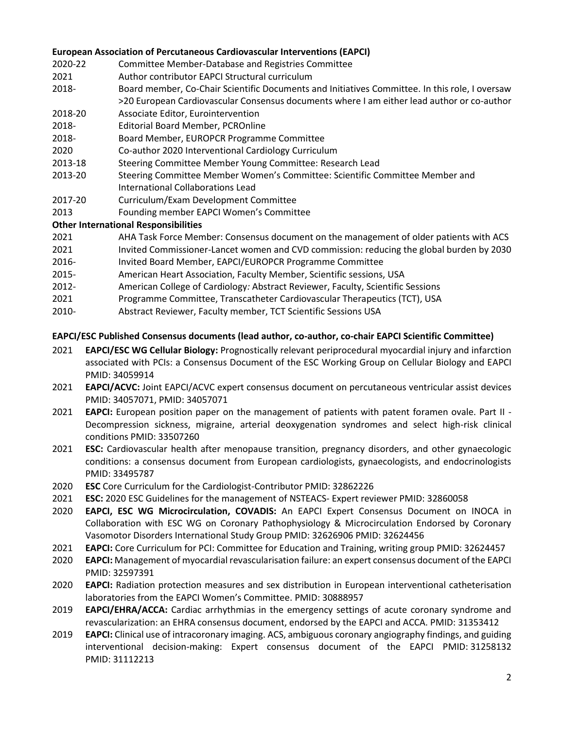### **European Association of Percutaneous Cardiovascular Interventions (EAPCI)**

- 2020-22 Committee Member-Database and Registries Committee
- 2021 Author contributor EAPCI Structural curriculum
- 2018- Board member, Co-Chair Scientific Documents and Initiatives Committee. In this role, I oversaw >20 European Cardiovascular Consensus documents where I am either lead author or co-author
- 2018-20 Associate Editor, Eurointervention
- 2018- Editorial Board Member, PCROnline
- 2018- Board Member, EUROPCR Programme Committee
- 2020 Co-author 2020 Interventional Cardiology Curriculum
- 2013-18 Steering Committee Member Young Committee: Research Lead
- 2013-20 Steering Committee Member Women's Committee: Scientific Committee Member and International Collaborations Lead
- 2017-20 Curriculum/Exam Development Committee
- 2013 Founding member EAPCI Women's Committee

# **Other International Responsibilities**

- 2021 AHA Task Force Member: Consensus document on the management of older patients with ACS
- 2021 Invited Commissioner-Lancet women and CVD commission: reducing the global burden by 2030
- 2016- Invited Board Member, EAPCI/EUROPCR Programme Committee
- 2015- American Heart Association, Faculty Member, Scientific sessions, USA
- 2012- American College of Cardiology*:* Abstract Reviewer, Faculty, Scientific Sessions
- 2021 Programme Committee, Transcatheter Cardiovascular Therapeutics (TCT), USA
- 2010- Abstract Reviewer, Faculty member, TCT Scientific Sessions USA

### **EAPCI/ESC Published Consensus documents (lead author, co-author, co-chair EAPCI Scientific Committee)**

- 2021 **EAPCI/ESC WG Cellular Biology:** Prognostically relevant periprocedural myocardial injury and infarction associated with PCIs: a Consensus Document of the ESC Working Group on Cellular Biology and EAPCI PMID: 34059914
- 2021 **EAPCI/ACVC:** Joint EAPCI/ACVC expert consensus document on percutaneous ventricular assist devices PMID: 34057071, PMID: 34057071
- 2021 **EAPCI:** European position paper on the management of patients with patent foramen ovale. Part II Decompression sickness, migraine, arterial deoxygenation syndromes and select high-risk clinical conditions PMID: 33507260
- 2021 **ESC:** Cardiovascular health after menopause transition, pregnancy disorders, and other gynaecologic conditions: a consensus document from European cardiologists, gynaecologists, and endocrinologists PMID: 33495787
- 2020 **ESC** Core Curriculum for the Cardiologist-Contributor PMID: 32862226
- 2021 **ESC:** 2020 ESC Guidelines for the management of NSTEACS- Expert reviewer PMID: 32860058
- 2020 **EAPCI, ESC WG Microcirculation, COVADIS:** An EAPCI Expert Consensus Document on INOCA in Collaboration with ESC WG on Coronary Pathophysiology & Microcirculation Endorsed by Coronary Vasomotor Disorders International Study Group PMID: 32626906 PMID: 32624456
- 2021 **EAPCI:** Core Curriculum for PCI: Committee for Education and Training, writing group PMID: 32624457
- 2020 **EAPCI:** Management of myocardial revascularisation failure: an expert consensus document of the EAPCI PMID: 32597391
- 2020 **EAPCI:** [Radiation protection measures and sex distribution](https://pubmed.ncbi.nlm.nih.gov/30888957/) in European interventional catheterisation [laboratories from the EAPCI Women's Committee.](https://pubmed.ncbi.nlm.nih.gov/30888957/) PMID: 30888957
- 2019 **EAPCI/EHRA/ACCA:** Cardiac arrhythmias in the emergency settings of acute coronary syndrome and revascularization: an EHRA consensus document, endorsed by the EAPCI and ACCA. PMID: 31353412
- 2019 **EAPCI:** Clinical use of intracoronary imaging. ACS, ambiguous coronary angiography findings, and guiding interventional decision-making: Expert consensus document of the EAPCI PMID: 31258132 PMID: 31112213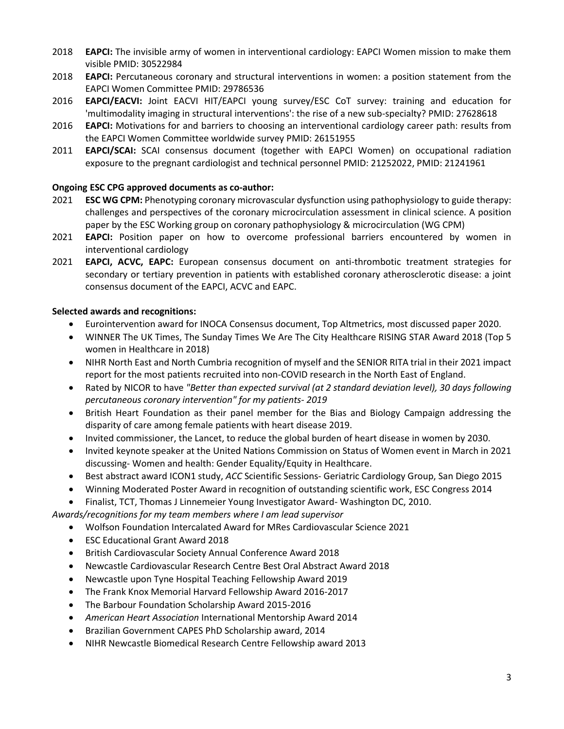- 2018 **EAPCI:** The invisible army of women in interventional cardiology: EAPCI Women mission to make them visible PMID: 30522984
- 2018 **EAPCI:** Percutaneous coronary and structural interventions in women: a position statement from the EAPCI Women Committee PMID: 29786536
- 2016 **EAPCI/EACVI:** Joint EACVI HIT/EAPCI young survey/ESC CoT survey: training and education for 'multimodality imaging in structural interventions': the rise of a new sub-specialty? PMID: 27628618
- 2016 **EAPCI:** Motivations for and barriers to choosing an interventional cardiology career path: results from the EAPCI Women Committee worldwide survey PMID: 26151955
- 2011 **EAPCI/SCAI:** SCAI consensus document (together with EAPCI Women) on occupational radiation exposure to the pregnant cardiologist and technical personnel PMID: 21252022, PMID: 21241961

# **Ongoing ESC CPG approved documents as co-author:**

- 2021 **ESC WG CPM:** Phenotyping coronary microvascular dysfunction using pathophysiology to guide therapy: challenges and perspectives of the coronary microcirculation assessment in clinical science. A position paper by the ESC Working group on coronary pathophysiology & microcirculation (WG CPM)
- 2021 **EAPCI:** Position paper on how to overcome professional barriers encountered by women in interventional cardiology
- 2021 **EAPCI, ACVC, EAPC:** European consensus document on anti-thrombotic treatment strategies for secondary or tertiary prevention in patients with established coronary atherosclerotic disease: a joint consensus document of the EAPCI, ACVC and EAPC.

# **Selected awards and recognitions:**

- Eurointervention award for INOCA Consensus document, Top Altmetrics, most discussed paper 2020.
- WINNER The UK Times, The Sunday Times We Are The City Healthcare RISING STAR Award 2018 (Top 5 women in Healthcare in 2018)
- NIHR North East and North Cumbria recognition of myself and the SENIOR RITA trial in their 2021 impact report for the most patients recruited into non-COVID research in the North East of England.
- Rated by NICOR to have *"Better than expected survival (at 2 standard deviation level), 30 days following percutaneous coronary intervention" for my patients- 2019*
- British Heart Foundation as their panel member for the Bias and Biology Campaign addressing the disparity of care among female patients with heart disease 2019.
- Invited commissioner, the Lancet, to reduce the global burden of heart disease in women by 2030.
- Invited keynote speaker at the United Nations Commission on Status of Women event in March in 2021 discussing- Women and health: Gender Equality/Equity in Healthcare.
- Best abstract award ICON1 study, *ACC* Scientific Sessions- Geriatric Cardiology Group, San Diego 2015
- Winning Moderated Poster Award in recognition of outstanding scientific work, ESC Congress 2014
- Finalist, TCT, Thomas J Linnemeier Young Investigator Award- Washington DC, 2010.
- *Awards/recognitions for my team members where I am lead supervisor*
	- Wolfson Foundation Intercalated Award for MRes Cardiovascular Science 2021
	- ESC Educational Grant Award 2018
	- British Cardiovascular Society Annual Conference Award 2018
	- Newcastle Cardiovascular Research Centre Best Oral Abstract Award 2018
	- Newcastle upon Tyne Hospital Teaching Fellowship Award 2019
	- The Frank Knox Memorial Harvard Fellowship Award 2016-2017
	- The Barbour Foundation Scholarship Award 2015-2016
	- *American Heart Association* International Mentorship Award 2014
	- Brazilian Government CAPES PhD Scholarship award, 2014
	- NIHR Newcastle Biomedical Research Centre Fellowship award 2013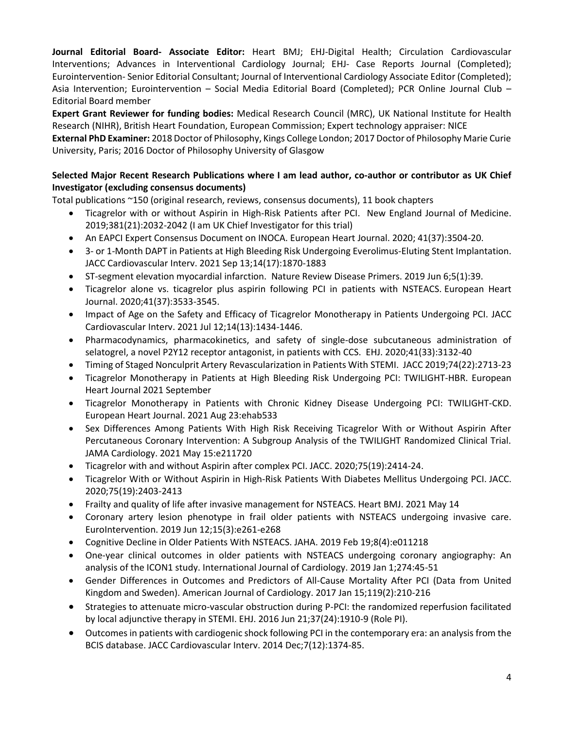**Journal Editorial Board- Associate Editor:** Heart BMJ; EHJ-Digital Health; Circulation Cardiovascular Interventions; Advances in Interventional Cardiology Journal; EHJ- Case Reports Journal (Completed); Eurointervention- Senior Editorial Consultant; Journal of Interventional Cardiology Associate Editor (Completed); Asia Intervention; Eurointervention – Social Media Editorial Board (Completed); PCR Online Journal Club – Editorial Board member

**Expert Grant Reviewer for funding bodies:** Medical Research Council (MRC), UK National Institute for Health Research (NIHR), British Heart Foundation, European Commission; Expert technology appraiser: NICE

**External PhD Examiner:** 2018 Doctor of Philosophy, Kings College London; 2017 Doctor of Philosophy Marie Curie University, Paris; 2016 Doctor of Philosophy University of Glasgow

# **Selected Major Recent Research Publications where I am lead author, co-author or contributor as UK Chief Investigator (excluding consensus documents)**

Total publications ~150 (original research, reviews, consensus documents), 11 book chapters

- Ticagrelor with or without Aspirin in High-Risk Patients after PCI. New England Journal of Medicine. 2019;381(21):2032-2042 (I am UK Chief Investigator for this trial)
- An EAPCI Expert Consensus Document on INOCA. European Heart Journal. 2020; 41(37):3504-20.
- 3- [or 1-Month DAPT in Patients at High Bleeding Risk Undergoing Everolimus-Eluting Stent Implantation.](https://pubmed.ncbi.nlm.nih.gov/34503737/) JACC Cardiovascular Interv. 2021 Sep 13;14(17):1870-1883
- ST-segment elevation myocardial infarction. Nature Review Disease Primers. 2019 Jun 6;5(1):39.
- Ticagrelor alone vs. ticagrelor plus aspirin following PCI in patients with NSTEACS. European Heart Journal. 2020;41(37):3533-3545.
- [Impact of Age on the Safety and Efficacy of Ticagrelor Monotherapy in Patients Undergoing PCI.](https://pubmed.ncbi.nlm.nih.gov/34238553/) JACC Cardiovascular Interv. 2021 Jul 12;14(13):1434-1446.
- Pharmacodynamics, pharmacokinetics, and safety of single-dose subcutaneous administration of selatogrel, a novel P2Y12 receptor antagonist, in patients with CCS. EHJ. 2020;41(33):3132-40
- Timing of Staged Nonculprit Artery Revascularization in Patients With STEMI. JACC 2019;74(22):2713-23
- Ticagrelor Monotherapy in Patients at High Bleeding Risk Undergoing PCI: TWILIGHT-HBR. European Heart Journal 2021 September
- Ticagrelor Monotherapy in Patients with Chronic Kidney Disease Undergoing PCI: TWILIGHT-CKD. European Heart Journal. 2021 Aug 23:ehab533
- [Sex Differences Among Patients With High Risk Receiving Ticagrelor With or Without Aspirin After](https://pubmed.ncbi.nlm.nih.gov/33991416/)  [Percutaneous Coronary Intervention: A Subgroup Analysis of the TWILIGHT Randomized Clinical Trial.](https://pubmed.ncbi.nlm.nih.gov/33991416/) JAMA Cardiology. 2021 May 15:e211720
- Ticagrelor with and without Aspirin after complex PCI. JACC. 2020;75(19):2414-24.
- Ticagrelor With or Without Aspirin in High-Risk Patients With Diabetes Mellitus Undergoing PCI. JACC. 2020;75(19):2403-2413
- [Frailty and quality of life after invasive management for NSTEACS.](https://pubmed.ncbi.nlm.nih.gov/33990413/) Heart BMJ. 2021 May 14
- [Coronary artery lesion phenotype in frail older patients with NSTEACS undergoing invasive care.](https://pubmed.ncbi.nlm.nih.gov/30777840/) EuroIntervention. 2019 Jun 12;15(3):e261-e268
- [Cognitive Decline in Older Patients With NSTEACS.](https://pubmed.ncbi.nlm.nih.gov/30773118/) JAHA. 2019 Feb 19;8(4):e011218
- [One-year clinical outcomes in older patients with NSTEACS](https://pubmed.ncbi.nlm.nih.gov/30287058/) undergoing coronary angiography: An [analysis of the ICON1 study.](https://pubmed.ncbi.nlm.nih.gov/30287058/) International Journal of Cardiology. 2019 Jan 1;274:45-51
- [Gender Differences in Outcomes and Predictors of All-Cause Mortality After PCI](https://pubmed.ncbi.nlm.nih.gov/27816119/) (Data from United [Kingdom and Sweden\).](https://pubmed.ncbi.nlm.nih.gov/27816119/) American Journal of Cardiology. 2017 Jan 15;119(2):210-216
- Strategies to attenuate micro-vascular obstruction during P-PCI: the randomized reperfusion facilitated by local adjunctive therapy in STEMI. EHJ. 2016 Jun 21;37(24):1910-9 (Role PI).
- Outcomes in patients with cardiogenic shock following PCI in the contemporary era: an analysis from the BCIS database. JACC Cardiovascular Interv. 2014 Dec;7(12):1374-85.